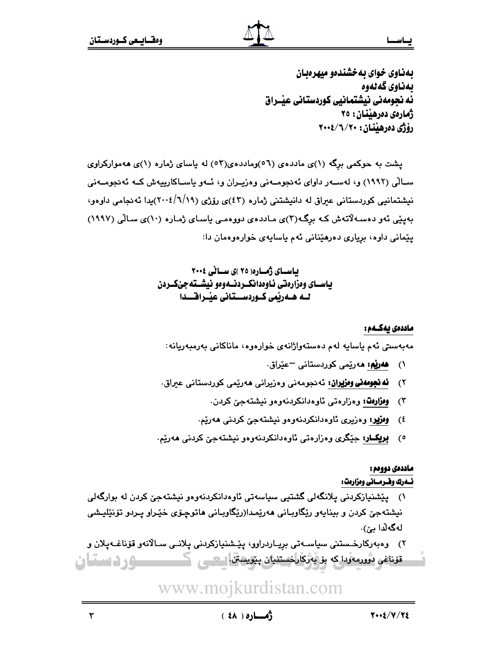بهناوی خوای به خشندهو میهرهبان بەناوى كەلەوە ئه نحومهني نيشتمانيي كوردستاني عنــراق ژمارەي دەرھىنان: ٢٥ رۆژى دەرھينان: ٢٠٠٤/٦/٢٠٠

یشت به حوکمی برگه (۱)ی ماددهی (٥٦)وماددهی(٥٣) له یاسای ژماره (۱)ی ههموارکراوی ســالّي (١٩٩٢) و، لهســهر داواي ئهنجومــهني وهزيــران و، ئــهو ياســاكارييهش كــه ئهنجومــهني نیشتمانیی کوردستانی عیراق له دانیشتنی ژماره (٤٣)ی رۆژی (٦/١٩/١). بدا ئهنجامی داوهو، بەينى ئەو دەسەلاتەش كە برگە(٣)ى ماددەي دووەمى ياساي ژمارە (١٠)ى سالى (١٩٩٧) يێماني داوه، برياري دەرھێناني ئەم ياسايەي خوارەوەمان دا:

> بیاسسای ژُمساره( ۲۵ )ی سسائی ۲۰۰۶ ياسـاي وەزارەتى ئـاوەدانكــردتــەوەو نيشــتەجىْكــردن ٹیم ھیمریمی کیوردسیستانی عیبراقیسدا

#### ماددەى يەكــەم :

مەبەسىتى ئەم ياسايە لەم دەستەولژانەي خوارەوە، ماناكانى بەرمبەريانە:

- د ه**هريم: م**ەرپيمي كوردستاني <sup>—</sup>عيّراق.
- ۲) <mark>ئه نجومەنى وەزپران:</mark> ئەنجومەنى وەزيرانى ھەرێمى كوردستان*ى* عيراق.
	- ۳) <mark>ومزارهڭ؛</mark> وەزارەتى ئاوەدانكردنەوەو نيشتەجىّ كردن.
	- ٤) <mark>وەزپر؛</mark> وەزیری ئاوەدانکردنەوەو نیشتەجىّ كردنى ھەرێم.
- ە) **بريكــار:** جێگرى وەزارەتى ئاوەدانكردنەوەو نيشتەجىّ كردنى ھەرێم.

## <u>ماددەى دوومم :</u>

<u>ئسەرك ومسرمسانى وەزارەت:</u>

- ؟) <u>' لەقھومەنى وەزير</u>ان نى نىچومەنى رەزيرانى ھەريتىمى كورىستانى عبراق.<br>'' ) <u>وفۇلدا</u> و دونزوى نالوددانكروندى وەر نىشتىتە جى كردنى ھەرتىم.<br><u>ادامى يونك و</u> دونزوى نالوددانكروندى وەر نىشتە جى كردنى ھەرتىم.<br>اقلىن قان يونك يې ۱) يێشنيازكردني يلانگەلي گشتيي سياسەتي ئاوەدانكردنەوەو نيشتەجێ كردن لە بوارگەلي نيشتهجيّ کردن و بينايهو رێگاوبـاني ههرێمـدا(رێگاوبـاني هاتوچـۆي خێـراو پـردو تۆنێليـشي لەگەلدا م*ن*.
	- y) وەبەركارخىستنى سياسـەتى بريـاردراوو، يێـشنيازكردنى يلانـى سـالانەو قۆناغـەيلان و قۆناغى ئۇررەئودا كە بۆ بەزكارلخستنيان پ<u>تو</u>يسان 1- ھــي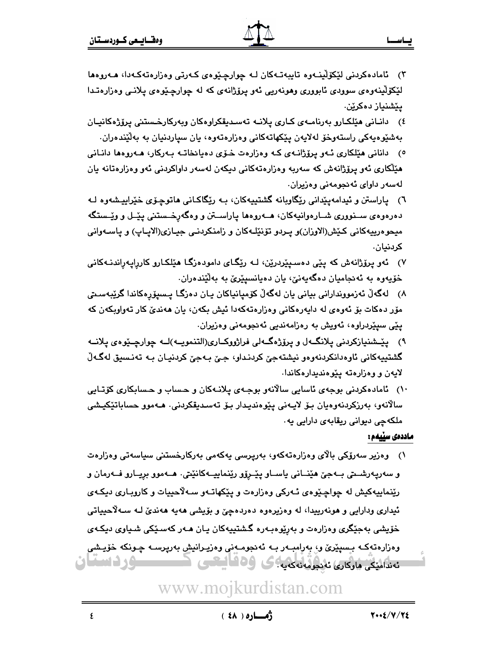- ۳) ئامادەكردنى لێكۆلينـەوە تايبەتـەكان لـه چوارچێوەى كـەرتى وەزارەتەكـەدا، ھـەروەھا لێػۆڵۑنەوەي سوودي ئابووري وھونەريى ئەو پرۆژانەي كە لە چوارچێوەي پلانىي وەزارەتـدا يێشنياز دەكرێن.
- ) دانـانی هێلکـارو بەرنامـەی کـاری پلانـە تەسـدېقکراوەکان وپەرکارخـستنی پرۆژەکانيـان ( جەشێوەپەكى راستەوخۆ لەلايەن يێكھاتەكانى وەزارەتەوە، يان سياردنيان بە بەلێندەران.
- 0) دانانی هێلکاری ئـهو پرۆژانـهی کـه وهزارهت خـۆی دهيانخاتـه بـهرکار، هـهروهها دانـانی هێڵکاری ئهو پرۆژانەش کە سەربە وەزارەتەکانى دېكەن لەسەر داواكردنى ئەو وەزارەتانە يان لەسەر داوا*ی* ئەنجومەنى وەزيران.
- ٦) ياراستن و ئيدامهيێدانى رێگاويانه گشتييهكان، بـه رێگاكـانى ماتوچـۆى خێرابيـشهوه لـه دهرهوهی ســنووری شــارهوانیهکان، هــهروهها یاراســتن و وهگهرخــستنی ییّــل و ویّــستگه ميحوهرييهكاني كَيْش(الاوزان)و پـردو تۆنێلـﻪكان و زامنكردنـي جيـازي(الايـاپ) و ياسـﻪواني كردنيان.
- ) ئەو يرۆژانەش كە يێى دەسىيێردرێن، لـە رێگـاى دامودەزگـا ھێلكـارو كاررايەراندنـەكانى خۆپەوە بە ئەنجاميان دەگەپەنى، يان دەيانسىيۆى بە بەلێندەران.
- لەگەلْ ئەزمورندارانى بيانى يان لەگەلْ كۆميانياكان يـان دەزگـا يـسيۆرەكاندا گرێبەسـتى ( مۆر دەكات بۆ ئەوەي لە دايەرەكانى وەزارەتەكەدا ئېش بكەن، يان ھەندىّ كار تەواوبكەن كە یێی سیێردراوه، ئەویش بە رەزامەندیی ئەنجومەنی وەزیران.
- ۹) پێـشنيازكردني پلانگــهل و پرۆژهگــهلي فراژووكــاري(التنمويــه)لــه چوارچــێوهي پلانــه گشتيپەكانى ئاوەدانكردنەوەو نيشتەجىّ كردنـداو، جـيّ بـەجىّ كردنيـان بـە تەنـسيق لەگـەلّ لایهن و وهزارهته ییوهندیدارهکاندا.
- ۰۱) ئامادەكردنى بوجەي ئاسايى سالانەو بوجـەي يلانـەكان و حـساب و حـسابكارى كۆتـايى سالانەو، بەرزكردنەوەيان بىۆ لايـەنى يێوەنديـدار بىۆ تەسـدېقكردنى. ھـﻪموو حساباتێكيـشى ملکهچی دیوانی ریقابهی دارایی یه .

#### ماددەى سٽىمم :

' ) ناماددگردنی بوجه ی تاسایی سالانه و بوجه ی پلانه کان و حساب و حسابکاری کارتنایی<br>' ) ناماددگردنی بوجه ی تاسایی سالانه و بوجه ی تاسایی تفاوتی است به دور حسابانتیکیشی<br>ماددگاهی به دور از این این این این این این این این این ۱) وەزير سەرۆكى بالاي وەزارەتەكەو، بەريرسى يەكەمى بەركارخستنى سياسەتى وەزارەت و سەرپەرشىتى بىەجىّ ھێنــانى ياســاو پێـرۆو رێنماييــەكانێتى٠ ھــەموو بريــارو فــەرمان و رێِنماييهکيش له چواچێوەي ئـهرکي وەزارەت و پێکهاتـهو سـهلاّحييات و کاروپـارى ديکـهي ئيداري ودارايي و هونهرييدا، له وهزيرهوه دهردهچيّ و بۆيشى هەيه هەنديّ لـه سـﻪلاَحيياتي خۆیشی بهجێگری وهزارهت و بهرێوهبـهره گـشتیپهکان پـان هـهر کهسـێکی شـیاوی دیکـهی وەزارەتەكــه بـسىيْرىّ و، بەرامبــەر بــه ئەنجومــەنى وەزيـرانيش بەرپرســه چـونكه خۆيـشى ئەندامىكى ماركارى ئەنجومەنەكەيە:كە 109 كىلىكتى كىست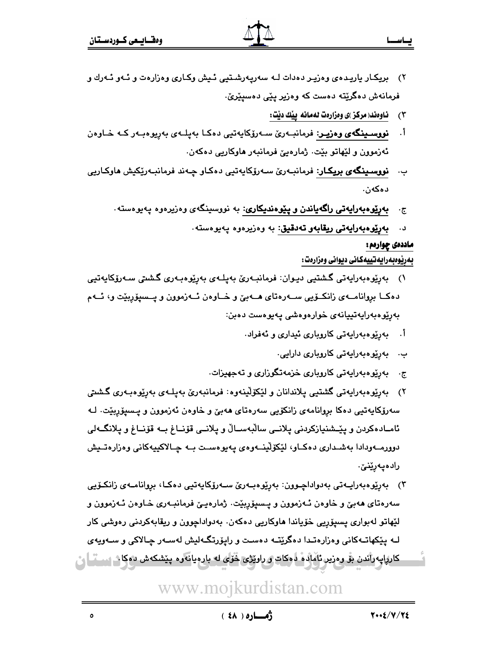- ۲) بریکـار باریـده ی وهزیـر دهدات لـه سهریـهرشـتبی ئـیش وکـاری وهزارهت و ئـهو ئـهرك و فرمانەش دەگرێتە دەست كە وەزير يێى دەسيێرێ.
	- $(\mathbf{r})$ ِ ناوەند( مركز )ى وەزارەت لەمانە ييْك ديْت:
- نووسىينگەي وەزيىر: فرمانبــەرێ ســەرۆكايەتيى دەكـا بەپلــەي بەرپوەبـەر كــە خــاوەن  $\overline{\phantom{a}}$ ئەزموون و لێهاتو بێت. ژمارەيێ فرمانبەر ھاوكاريى دەكەن.
- <mark>نووسـينگەي بريكـار</mark>: فرمانبـەرێ سـەرۆكايەتيى دەكـاو چـەند فرمانبـەرێكيش ھاوكـاريى ب. دەكەن.
	- **بهریوهبهرایهتی راگهیاندن و پیوهندیکاری:** به نووسینگهی وهزیرهوه پهیوهسته .  $\cdot \overline{c}$ 
		- **بەرپوەبەرايەتى ريقابەو تەدقيق**: بە وەزيرەوە پەيوەستە. د.

#### ماددهۍ چوارهم:

#### بەرپوەبەرايەتييەكانى ديوانى وەزارەت :

- بەرێوەبەرايەتى گشتيى ديـوان: فرمانبـەرێ بەپلـەي بەرێوەبـەرى گشتى سـەرۆكايەتيى  $\alpha$ دهکــا بروانامـــهى زانكــۆيى ســـهرهتاى هـــهبيّ و خــاوهن ئــهزموون و پــسپۆربِيّت و، ئــهم بەرێوەبەرايەتىيانەي خوارەوەشى يەيوەست دەبن:
	- أ. بەرێوەبەرايەتى كاروبارى ئيدارى و ئەفراد.
		- ب. بەرێوەبەرايەتى كاروبارى دارايى.
	- ج. بەرێوەبەراپەتى كاروبارى خزمەتگوزارى و تەجھيزات.
- ۲) بەرپوەبەرايەتى گشتيى پلاندانان و لێکۆلينەوە: ڧرمانبەرێ بەپلـەي بەرپوەبـەرى گشىتى سەرۆكاپەتيى دەكا بروانامەي زانكۆيى سەرەتاي ھەبىّ و خاوەن ئەزموون و پىسپۆربېّت. لـە ئامـادەكردن و پێـشنيازكردنى پلانــي سالْبەســالْ و پلانــي قۆنــاغ بــه قۆنــاغ و پلانگــەلى دوورمـــهودادا بهشــداري دهكــاو، لێكۆڵينـــهوهي پـهيوهســت بــه چــالاكييهكاني وهزارهتــيش رادەپەرێنێ.
- ۳) بەرێوەبەراپــەتى بەدواداچـوون: بەرێوەبــەرێ ســەرۆكاپەتپى دەكـا، بروانامــەي زانكـۆپى سەرەتاي ھەبىٌ و خاوەن ئـەزموون و يـسىۆربێت. ژمارەپـێ فرمانبـەرى خـاوەن ئـەزموون و لێهاتو لەبوارى پسپۆرپى خۆياندا ھاوكاريى دەكەن. بەدواداچوون و ريقابەكردنى رەوشى كار لـه يێِکهاتـهکانی وهزارهتـدا دهگرێتـه دهسـت و رايۆرتگـهليش لهسـهر چـالاکی و سـهويهي کارپايهرآندن بۆ وەزير ئاماتە دەكات *و ر*اوێژی څۆی له بارەيانەوە پێشکەش دەكاش سىڭ <mark>ل</mark>ى

# www.mojkurdistan.com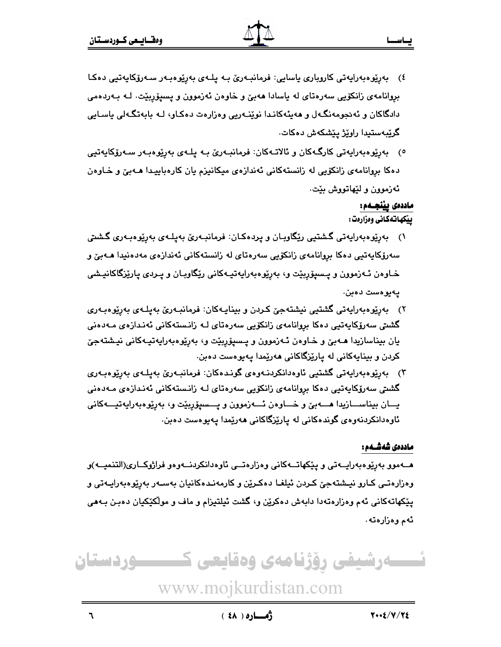- ) بەرپوەبەرايەتى كاروبارى ياسايى: فرمانبـەرێ بـە يلـەي بەرپوەبـەر سـەرۆكايەتيى دەكـا بروانامهی زانکۆیی سەرەتای لە ياسادا ھەبیؒ و خاوەن ئەزموون و يسيۆربێت. لــه بــەردەمی دادگاکان و ئەنجومەنگەل و ھەيئەکانىدا نوێنەريى وەزارەت دەكـاو، لـە بابەتگـەلى ياسـايى گرێبەستىدا راوێژ يێشكەش دەكات.
- ە) بەريوەبەرايەتى كارگـەكان و ئالاتـەكان: فرمانبـەرێ بـە يلـەي بەريوەبـەر سـەرۆكايەتيى دهکا بروانامهی زانکۆیی له زانستهکانی ئەندازەی میکانیزم یان کارەباییدا هــهبیّ و خـاوەن ئەزموون و لێھاتووش بێت.

### ماددەى پێنجــەم:

پيکهاتهگانی وهزارهت:

- \) بەرپوەبەرايەتى گىشتيى ريّگاوبـان و پردەكـان: فرمانبـەرئ بەپلـەى بەرپوەبـەرى گىشتى سەرۆكايەتيى دەكا بروانامەي زانكۆيى سەرەتاي لە زانستەكانى ئەندازەي مەدەنيدا ھـەبىّ و خـاوەن ئـەزموون و پــسيۆربێت و، بەرێوەبەرايەتپـەكانى رێگاوبـان و پــردى پارێزگاكانپــشى يەيوەست دەبن.
- ۲) بەرێوەبەرايەتى گشتيى نيشتەجێ كىردن و بينايـەكان: فرمانبـەرێ بەيلـەي بەرێوەبـەري گشىتى سەرۆكاپەتپى دەكا بروانامەي زانكۆيى سەرەتاي لـە زانىستەكانى ئەندازەي مـەدەنى یان بیناسازیدا هـﻪبێ و خـاوەن ئـﻪزموون و پـسیۆربێت و، بەرێوەبەرايەتيـﻪكانى نيـشتەجێ کردن و بینایهکانی له یاری٘زگاکانی ههریْمدا یهیوهست دهبن.
- ۳) بەريوەبەرايەتى گشتيى ئاوەدانكردنـەوەي گونـدەكان: فرمانبـەرێ بەپلـەي بەريوەبـەري گشتی سەرۆکاپەتیی دەکا بروانامەی زانکۆیی سەرەتای لـە زانـستەکانی ئەنـدازەی مـەدەنی يـــان بيناســـازيدا هـــــەبێ و خــــاوەن ئــــەزموون و يـــسيۆربێت و، بەرێوەبەرايەتيـــەكانى ئاوەدانكردنەوەى گوندەكانى لە يارێزگاكانى ھەرێمدا يەيوەست دەبن.

#### ماددەى شەشــەم :

: الاست كان تقويت السياسي التي تتميز التي تتميز التي تتميز التي تتميز التي تتميز التي تتميز التي تميز التي تتم<br>التي تساوين التي تتميز التي تتميز التي التي تتميز التي تتميز التي تتميز التي تتميز التي تتميز التي تتميز التي<br> هــهموو بەرپوەبەرايــەتى و پێكهاتــەكانى وەزارەتــى ئاوەدانكردنـــەوەو فراژوكــارى(التنميــه)و وەزارەتـي كـارو نيـشتەجێ كـردن ئيلغـا دەكـرێن و كارمەنـدەكانيان بەسـەر بەرێوەبەراپـەتى و یێکهاتهکانی ئهم وهزارهتهدا دابهش دهکرێن و، گشت ئیلتیزام و ماف و مولّکێکیان دهبـن بـهمی ئەم وەزارەتە.